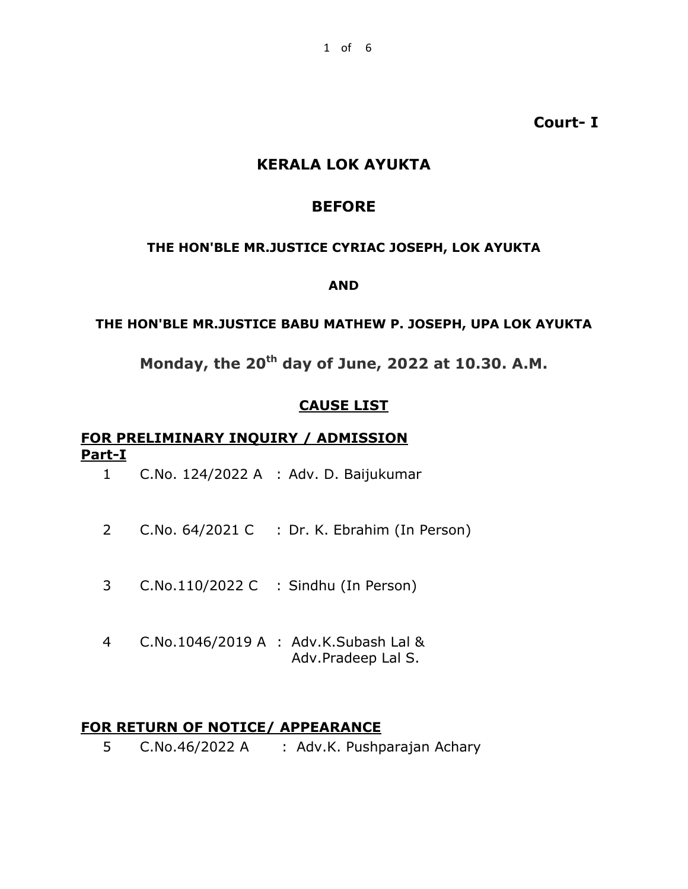1 of 6

**Court- I**

# **KERALA LOK AYUKTA**

# **BEFORE**

## **THE HON'BLE MR.JUSTICE CYRIAC JOSEPH, LOK AYUKTA**

**AND**

## **THE HON'BLE MR.JUSTICE BABU MATHEW P. JOSEPH, UPA LOK AYUKTA**

**Monday, the 20th day of June, 2022 at 10.30. A.M.**

## **CAUSE LIST**

# **FOR PRELIMINARY INQUIRY / ADMISSION Part-I**

- 1 C.No. 124/2022 A : Adv. D. Baijukumar
- 2 C.No. 64/2021 C : Dr. K. Ebrahim (In Person)
- 3 C.No.110/2022 C : Sindhu (In Person)
- 4 C.No.1046/2019 A : Adv.K.Subash Lal & Adv.Pradeep Lal S.

## **FOR RETURN OF NOTICE/ APPEARANCE**

5 C.No.46/2022 A : Adv.K. Pushparajan Achary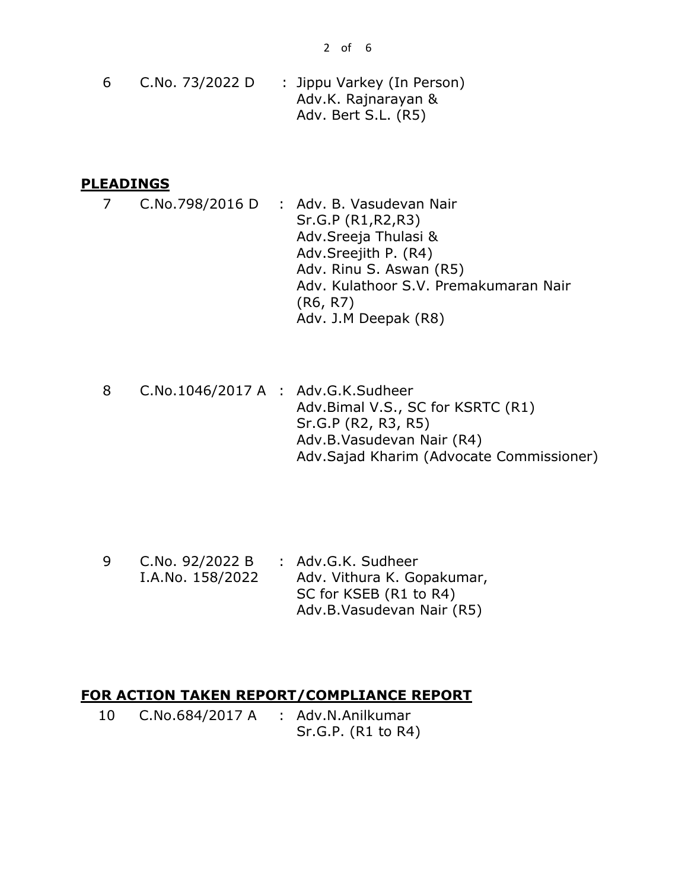2 of 6

6 C.No. 73/2022 D : Jippu Varkey (In Person) Adv.K. Rajnarayan & Adv. Bert S.L. (R5)

#### **PLEADINGS**

- 7 C.No.798/2016 D : Adv. B. Vasudevan Nair Sr.G.P (R1,R2,R3) Adv.Sreeja Thulasi & Adv.Sreejith P. (R4) Adv. Rinu S. Aswan (R5) Adv. Kulathoor S.V. Premakumaran Nair (R6, R7) Adv. J.M Deepak (R8)
- 8 C.No.1046/2017 A : Adv.G.K.Sudheer Adv.Bimal V.S., SC for KSRTC (R1) Sr.G.P (R2, R3, R5) Adv.B.Vasudevan Nair (R4) Adv.Sajad Kharim (Advocate Commissioner)
- 9 C.No. 92/2022 B I.A.No. 158/2022 : Adv.G.K. Sudheer Adv. Vithura K. Gopakumar, SC for KSEB (R1 to R4) Adv.B.Vasudevan Nair (R5)

## **FOR ACTION TAKEN REPORT/COMPLIANCE REPORT**

10 C.No.684/2017 A : Adv.N.Anilkumar Sr.G.P. (R1 to R4)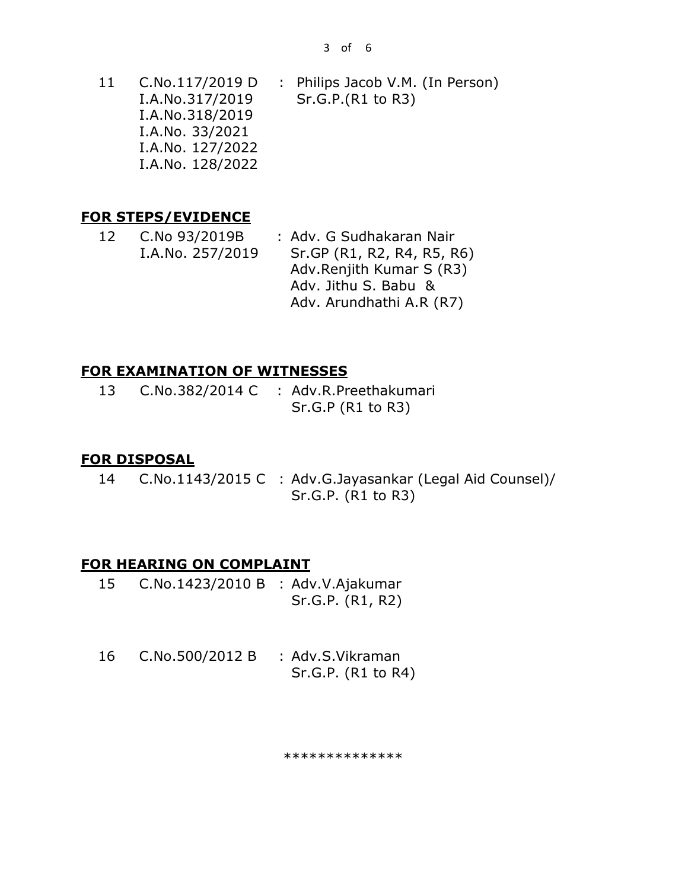11 C.No.117/2019 D I.A.No.317/2019 I.A.No.318/2019 I.A.No. 33/2021 I.A.No. 127/2022 I.A.No. 128/2022 : Philips Jacob V.M. (In Person) Sr.G.P.(R1 to R3)

## **FOR STEPS/EVIDENCE**

12 C.No 93/2019B I.A.No. 257/2019 : Adv. G Sudhakaran Nair Sr.GP (R1, R2, R4, R5, R6) Adv.Renjith Kumar S (R3) Adv. Jithu S. Babu & Adv. Arundhathi A.R (R7)

## **FOR EXAMINATION OF WITNESSES**

13 C.No.382/2014 C : Adv.R.Preethakumari Sr.G.P (R1 to R3)

## **FOR DISPOSAL**

14 C.No.1143/2015 C : Adv.G.Jayasankar (Legal Aid Counsel)/ Sr.G.P. (R1 to R3)

## **FOR HEARING ON COMPLAINT**

- 15 C.No.1423/2010 B : Adv.V.Ajakumar Sr.G.P. (R1, R2)
- 16 C.No.500/2012 B : Adv.S.Vikraman Sr.G.P. (R1 to R4)

\*\*\*\*\*\*\*\*\*\*\*\*\*\*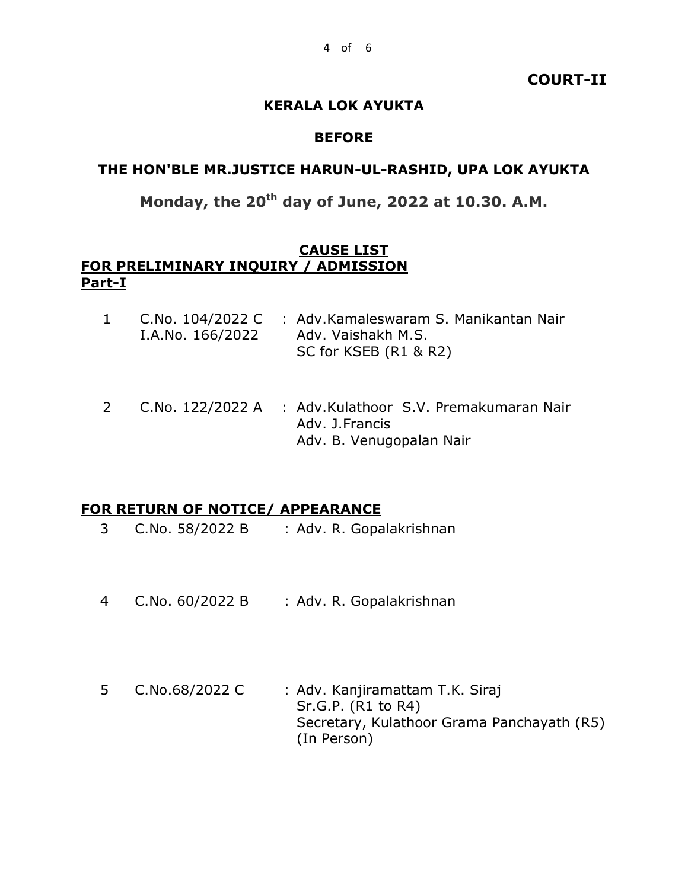#### **COURT-II**

## **KERALA LOK AYUKTA**

#### **BEFORE**

## **THE HON'BLE MR.JUSTICE HARUN-UL-RASHID, UPA LOK AYUKTA**

# **Monday, the 20th day of June, 2022 at 10.30. A.M.**

## **CAUSE LIST FOR PRELIMINARY INQUIRY / ADMISSION Part-I**

|  |                  | 1 C.No. 104/2022 C : Adv.Kamaleswaram S. Manikantan Nair |
|--|------------------|----------------------------------------------------------|
|  | I.A.No. 166/2022 | Adv. Vaishakh M.S.                                       |
|  |                  | SC for KSEB (R1 & R2)                                    |

2 C.No. 122/2022 A : Adv.Kulathoor S.V. Premakumaran Nair Adv. J.Francis Adv. B. Venugopalan Nair

## **FOR RETURN OF NOTICE/ APPEARANCE**

- 3 C.No. 58/2022 B : Adv. R. Gopalakrishnan
- 4 C.No. 60/2022 B : Adv. R. Gopalakrishnan
- 5 C.No.68/2022 C : Adv. Kanjiramattam T.K. Siraj Sr.G.P. (R1 to R4) Secretary, Kulathoor Grama Panchayath (R5) (In Person)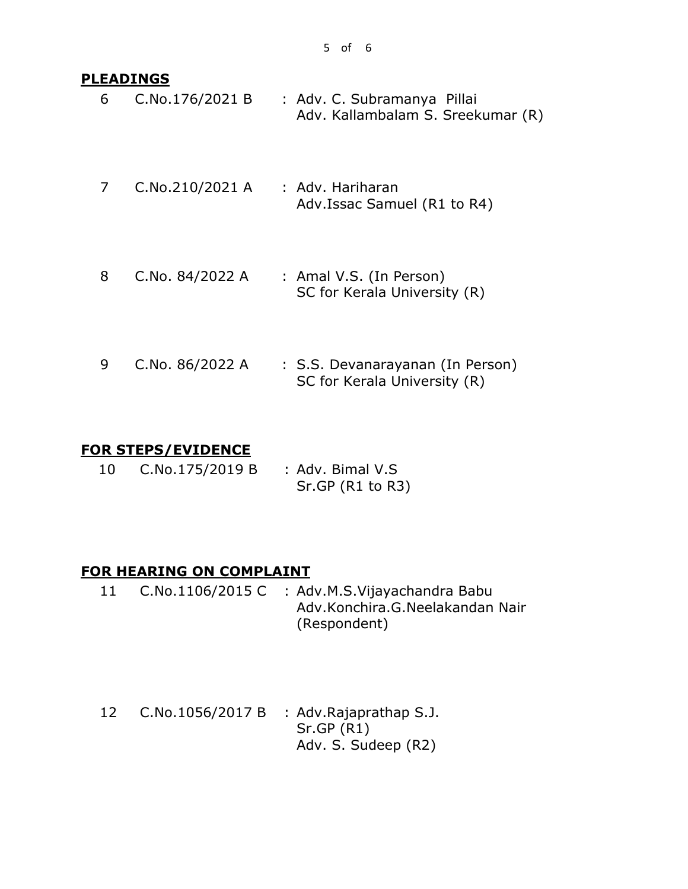#### **PLEADINGS**

- 6 C.No.176/2021 B : Adv. C. Subramanya Pillai Adv. Kallambalam S. Sreekumar (R)
- 7 C.No.210/2021 A : Adv. Hariharan Adv.Issac Samuel (R1 to R4)
- 8 C.No. 84/2022 A : Amal V.S. (In Person) SC for Kerala University (R)
- 9 C.No. 86/2022 A : S.S. Devanarayanan (In Person) SC for Kerala University (R)

#### **FOR STEPS/EVIDENCE**

10 C.No.175/2019 B : Adv. Bimal V.S Sr.GP (R1 to R3)

#### **FOR HEARING ON COMPLAINT**

- 11 C.No.1106/2015 C : Adv.M.S.Vijayachandra Babu Adv.Konchira.G.Neelakandan Nair (Respondent)
- 12 C.No.1056/2017 B : Adv.Rajaprathap S.J. Sr.GP (R1) Adv. S. Sudeep (R2)